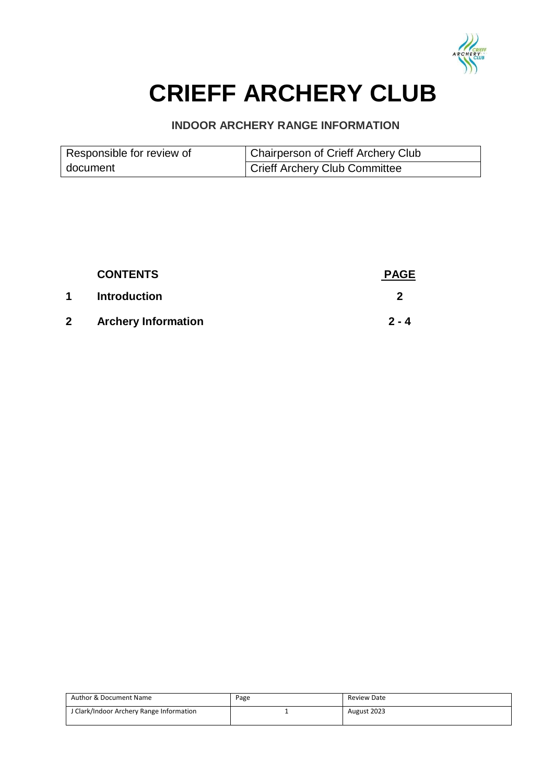

# **CRIEFF ARCHERY CLUB**

## **INDOOR ARCHERY RANGE INFORMATION**

| Responsible for review of | Chairperson of Crieff Archery Club |
|---------------------------|------------------------------------|
| document                  | Crieff Archery Club Committee      |

|              | <b>CONTENTS</b>            | <b>PAGE</b> |
|--------------|----------------------------|-------------|
| $\mathbf 1$  | <b>Introduction</b>        |             |
| $\mathbf{2}$ | <b>Archery Information</b> | $2 - 4$     |

| Author & Document Name                 | Page | Review Date |
|----------------------------------------|------|-------------|
| Clark/Indoor Archery Range Information |      | August 2023 |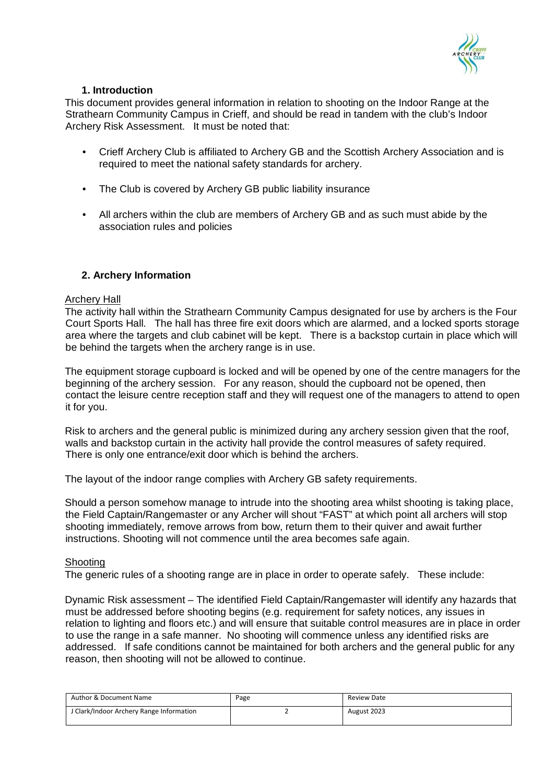

## **1. Introduction**

This document provides general information in relation to shooting on the Indoor Range at the Strathearn Community Campus in Crieff, and should be read in tandem with the club's Indoor Archery Risk Assessment. It must be noted that:

- Crieff Archery Club is affiliated to Archery GB and the Scottish Archery Association and is required to meet the national safety standards for archery.
- The Club is covered by Archery GB public liability insurance
- All archers within the club are members of Archery GB and as such must abide by the association rules and policies

## **2. Archery Information**

#### Archery Hall

The activity hall within the Strathearn Community Campus designated for use by archers is the Four Court Sports Hall. The hall has three fire exit doors which are alarmed, and a locked sports storage area where the targets and club cabinet will be kept. There is a backstop curtain in place which will be behind the targets when the archery range is in use.

The equipment storage cupboard is locked and will be opened by one of the centre managers for the beginning of the archery session. For any reason, should the cupboard not be opened, then contact the leisure centre reception staff and they will request one of the managers to attend to open it for you.

Risk to archers and the general public is minimized during any archery session given that the roof, walls and backstop curtain in the activity hall provide the control measures of safety required. There is only one entrance/exit door which is behind the archers.

The layout of the indoor range complies with Archery GB safety requirements.

Should a person somehow manage to intrude into the shooting area whilst shooting is taking place, the Field Captain/Rangemaster or any Archer will shout "FAST" at which point all archers will stop shooting immediately, remove arrows from bow, return them to their quiver and await further instructions. Shooting will not commence until the area becomes safe again.

## Shooting

The generic rules of a shooting range are in place in order to operate safely. These include:

Dynamic Risk assessment – The identified Field Captain/Rangemaster will identify any hazards that must be addressed before shooting begins (e.g. requirement for safety notices, any issues in relation to lighting and floors etc.) and will ensure that suitable control measures are in place in order to use the range in a safe manner. No shooting will commence unless any identified risks are addressed. If safe conditions cannot be maintained for both archers and the general public for any reason, then shooting will not be allowed to continue.

| Author & Document Name                   | Page | <b>Review Date</b> |
|------------------------------------------|------|--------------------|
| J Clark/Indoor Archery Range Information |      | August 2023        |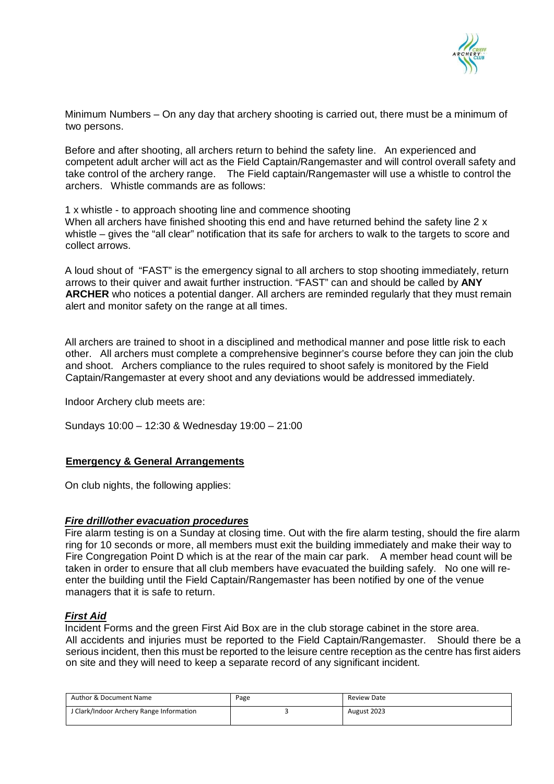

Minimum Numbers – On any day that archery shooting is carried out, there must be a minimum of two persons.

Before and after shooting, all archers return to behind the safety line. An experienced and competent adult archer will act as the Field Captain/Rangemaster and will control overall safety and take control of the archery range. The Field captain/Rangemaster will use a whistle to control the archers. Whistle commands are as follows:

1 x whistle - to approach shooting line and commence shooting When all archers have finished shooting this end and have returned behind the safety line 2 x whistle – gives the "all clear" notification that its safe for archers to walk to the targets to score and collect arrows.

A loud shout of "FAST" is the emergency signal to all archers to stop shooting immediately, return arrows to their quiver and await further instruction. "FAST" can and should be called by **ANY ARCHER** who notices a potential danger. All archers are reminded regularly that they must remain alert and monitor safety on the range at all times.

All archers are trained to shoot in a disciplined and methodical manner and pose little risk to each other. All archers must complete a comprehensive beginner's course before they can join the club and shoot. Archers compliance to the rules required to shoot safely is monitored by the Field Captain/Rangemaster at every shoot and any deviations would be addressed immediately.

Indoor Archery club meets are:

Sundays 10:00 – 12:30 & Wednesday 19:00 – 21:00

## **Emergency & General Arrangements**

On club nights, the following applies:

#### *Fire drill/other evacuation procedures*

Fire alarm testing is on a Sunday at closing time. Out with the fire alarm testing, should the fire alarm ring for 10 seconds or more, all members must exit the building immediately and make their way to Fire Congregation Point D which is at the rear of the main car park. A member head count will be taken in order to ensure that all club members have evacuated the building safely. No one will reenter the building until the Field Captain/Rangemaster has been notified by one of the venue managers that it is safe to return.

## *First Aid*

Incident Forms and the green First Aid Box are in the club storage cabinet in the store area. All accidents and injuries must be reported to the Field Captain/Rangemaster. Should there be a serious incident, then this must be reported to the leisure centre reception as the centre has first aiders on site and they will need to keep a separate record of any significant incident.

| Author & Document Name                   | Page | Review Date |
|------------------------------------------|------|-------------|
| J Clark/Indoor Archery Range Information |      | August 2023 |